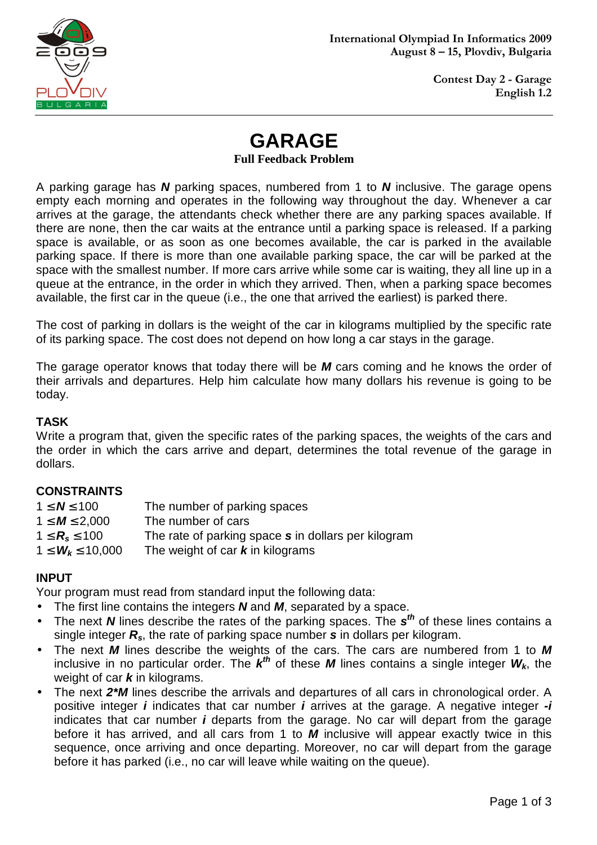

# **GARAGE**

### **Full Feedback Problem**

A parking garage has **N** parking spaces, numbered from 1 to **N** inclusive. The garage opens empty each morning and operates in the following way throughout the day. Whenever a car arrives at the garage, the attendants check whether there are any parking spaces available. If there are none, then the car waits at the entrance until a parking space is released. If a parking space is available, or as soon as one becomes available, the car is parked in the available parking space. If there is more than one available parking space, the car will be parked at the space with the smallest number. If more cars arrive while some car is waiting, they all line up in a queue at the entrance, in the order in which they arrived. Then, when a parking space becomes available, the first car in the queue (i.e., the one that arrived the earliest) is parked there.

The cost of parking in dollars is the weight of the car in kilograms multiplied by the specific rate of its parking space. The cost does not depend on how long a car stays in the garage.

The garage operator knows that today there will be **M** cars coming and he knows the order of their arrivals and departures. Help him calculate how many dollars his revenue is going to be today.

## **TASK**

Write a program that, given the specific rates of the parking spaces, the weights of the cars and the order in which the cars arrive and depart, determines the total revenue of the garage in dollars.

## **CONSTRAINTS**

| $1 \leq N \leq 100$    | The number of parking spaces                        |
|------------------------|-----------------------------------------------------|
| $1 \le M \le 2,000$    | The number of cars                                  |
| $1 \le R_s \le 100$    | The rate of parking space s in dollars per kilogram |
| $1 \le W_k \le 10,000$ | The weight of car $\boldsymbol{k}$ in kilograms     |

## **INPUT**

Your program must read from standard input the following data:

- The first line contains the integers **N** and **M**, separated by a space.
- The next **N** lines describe the rates of the parking spaces. The s<sup>th</sup> of these lines contains a single integer **Rs**, the rate of parking space number **s** in dollars per kilogram.
- The next **M** lines describe the weights of the cars. The cars are numbered from 1 to **M** inclusive in no particular order. The **k th** of these **M** lines contains a single integer **Wk**, the weight of car **k** in kilograms.
- The next **2\*M** lines describe the arrivals and departures of all cars in chronological order. A positive integer **i** indicates that car number **i** arrives at the garage. A negative integer **-i** indicates that car number **i** departs from the garage. No car will depart from the garage before it has arrived, and all cars from 1 to **M** inclusive will appear exactly twice in this sequence, once arriving and once departing. Moreover, no car will depart from the garage before it has parked (i.e., no car will leave while waiting on the queue).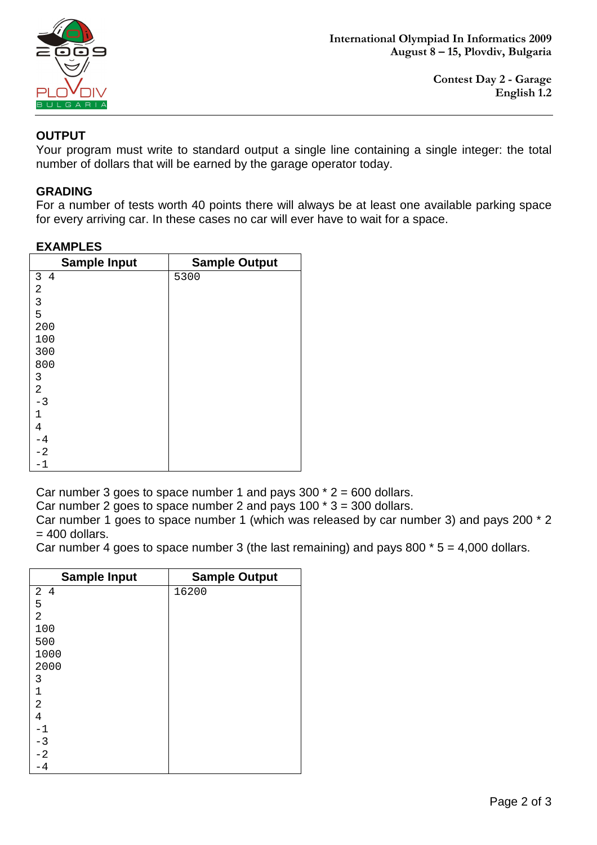

## **OUTPUT**

Your program must write to standard output a single line containing a single integer: the total number of dollars that will be earned by the garage operator today.

### **GRADING**

For a number of tests worth 40 points there will always be at least one available parking space for every arriving car. In these cases no car will ever have to wait for a space.

#### **EXAMPLES**

| <b>Sample Input</b> | <b>Sample Output</b> |
|---------------------|----------------------|
| 34                  | 5300                 |
| $\sqrt{2}$          |                      |
| $\overline{3}$      |                      |
| 5                   |                      |
| 200                 |                      |
| 100                 |                      |
| 300                 |                      |
| 800                 |                      |
| 3                   |                      |
| $\overline{2}$      |                      |
| $-3$                |                      |
| 1                   |                      |
| 4                   |                      |
| $-4$                |                      |
| $-2$                |                      |
| $-1$                |                      |

Car number 3 goes to space number 1 and pays  $300 * 2 = 600$  dollars.

Car number 2 goes to space number 2 and pays  $100 * 3 = 300$  dollars.

Car number 1 goes to space number 1 (which was released by car number 3) and pays 200 \* 2  $= 400$  dollars.

Car number 4 goes to space number 3 (the last remaining) and pays 800  $*$  5 = 4,000 dollars.

| <b>Sample Input</b> | <b>Sample Output</b> |
|---------------------|----------------------|
| 24                  | 16200                |
| 5                   |                      |
| $\overline{2}$      |                      |
| 100                 |                      |
| 500                 |                      |
| 1000                |                      |
| 2000                |                      |
| 3                   |                      |
| 1                   |                      |
| $\overline{2}$      |                      |
| $\bf 4$             |                      |
| $-1$                |                      |
| $-3$                |                      |
| $-2$                |                      |
| $-4$                |                      |